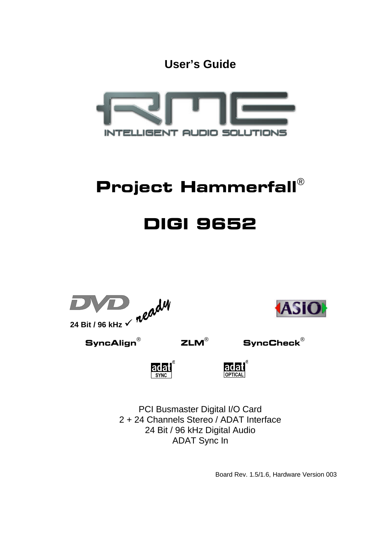**User's Guide**



# Project Hammerfall®

# DIGI 9652





 $\mathsf{SyncAlign}^\circ$  ZLM $^\circ$  SyncCheck $^\circ$ 

ladat



PCI Busmaster Digital I/O Card 2 + 24 Channels Stereo / ADAT Interface 24 Bit / 96 kHz Digital Audio ADAT Sync In

Board Rev. 1.5/1.6, Hardware Version 003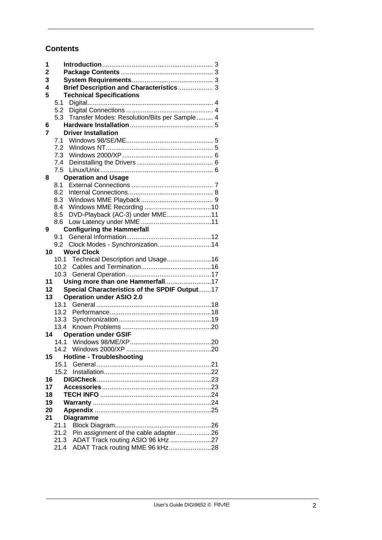# **Contents**

| 1               |      |                                                                                   |  |
|-----------------|------|-----------------------------------------------------------------------------------|--|
| $\mathbf 2$     |      |                                                                                   |  |
| 3               |      |                                                                                   |  |
| 4               |      | Brief Description and Characteristics 3                                           |  |
| 5               |      | <b>Technical Specifications</b>                                                   |  |
|                 | 5.1  |                                                                                   |  |
|                 | 5.2  |                                                                                   |  |
|                 | 5.3  | Transfer Modes: Resolution/Bits per Sample 4                                      |  |
| 6               |      |                                                                                   |  |
| 7               |      | <b>Driver Installation</b>                                                        |  |
|                 | 7.1  |                                                                                   |  |
|                 |      |                                                                                   |  |
|                 | 7.3  |                                                                                   |  |
|                 | 7.4  |                                                                                   |  |
|                 |      |                                                                                   |  |
| 8               |      | <b>Operation and Usage</b>                                                        |  |
|                 | 8.1  |                                                                                   |  |
|                 | 8.2  |                                                                                   |  |
|                 | 8.3  |                                                                                   |  |
|                 | 8.4  |                                                                                   |  |
|                 | 8.5  | DVD-Playback (AC-3) under MME11                                                   |  |
|                 | 8.6  |                                                                                   |  |
| 9               |      | <b>Configuring the Hammerfall</b>                                                 |  |
|                 | 9.1  |                                                                                   |  |
|                 |      | Clock Modes - Synchronization14                                                   |  |
| 10              |      | <b>Word Clock</b>                                                                 |  |
|                 | 10.1 | Technical Description and Usage16                                                 |  |
|                 | 10.2 |                                                                                   |  |
| 11              | 10.3 |                                                                                   |  |
| 12              |      | Using more than one Hammerfall17<br>Special Characteristics of the SPDIF Output17 |  |
| 13 <sup>1</sup> |      |                                                                                   |  |
|                 | 13.1 | <b>Operation under ASIO 2.0</b>                                                   |  |
|                 | 13.2 |                                                                                   |  |
|                 | 13.3 |                                                                                   |  |
|                 | 13.4 |                                                                                   |  |
|                 | 14   | <b>Operation under GSIF</b>                                                       |  |
|                 |      |                                                                                   |  |
|                 |      |                                                                                   |  |
| 15              |      | <b>Hotline - Troubleshooting</b>                                                  |  |
|                 | 15.1 |                                                                                   |  |
|                 | 15.2 |                                                                                   |  |
| 16              |      |                                                                                   |  |
| 17              |      |                                                                                   |  |
| 18              |      |                                                                                   |  |
| 19              |      |                                                                                   |  |
| 20              |      |                                                                                   |  |
| 21              |      | <b>Diagramme</b>                                                                  |  |
|                 | 21.1 |                                                                                   |  |
|                 | 21.2 | Pin assignment of the cable adapter26                                             |  |
|                 | 21.3 | ADAT Track routing ASIO 96 kHz 27                                                 |  |
|                 | 21.4 | ADAT Track routing MME 96 kHz28                                                   |  |
|                 |      |                                                                                   |  |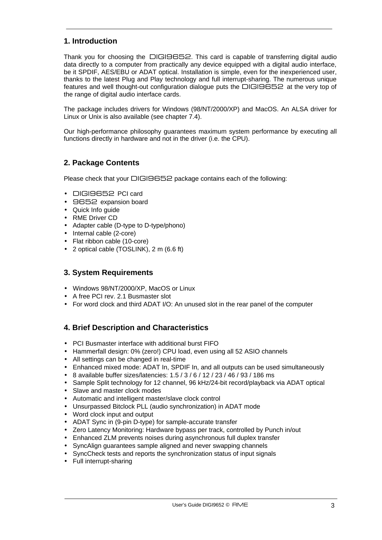# **1. Introduction**

Thank you for choosing the DIGI9652. This card is capable of transferring digital audio data directly to a computer from practically any device equipped with a digital audio interface, be it SPDIF, AES/EBU or ADAT optical. Installation is simple, even for the inexperienced user, thanks to the latest Plug and Play technology and full interrupt-sharing. The numerous unique features and well thought-out configuration dialogue puts the DIGI9652 at the very top of the range of digital audio interface cards.

The package includes drivers for Windows (98/NT/2000/XP) and MacOS. An ALSA driver for Linux or Unix is also available (see chapter 7.4).

Our high-performance philosophy guarantees maximum system performance by executing all functions directly in hardware and not in the driver (i.e. the CPU).

# **2. Package Contents**

Please check that your DIGI9652 package contains each of the following:

- DIGI9652 PCI card
- 9652 expansion board
- Quick Info guide
- RME Driver CD
- Adapter cable (D-type to D-type/phono)
- Internal cable (2-core)
- Flat ribbon cable (10-core)
- 2 optical cable (TOSLINK), 2 m (6.6 ft)

# **3. System Requirements**

- Windows 98/NT/2000/XP, MacOS or Linux
- A free PCI rev. 2.1 Busmaster slot
- For word clock and third ADAT I/O: An unused slot in the rear panel of the computer

# **4. Brief Description and Characteristics**

- PCI Busmaster interface with additional burst FIFO
- Hammerfall design: 0% (zero!) CPU load, even using all 52 ASIO channels
- All settings can be changed in real-time
- Enhanced mixed mode: ADAT In, SPDIF In, and all outputs can be used simultaneously
- 8 available buffer sizes/latencies: 1.5 / 3 / 6 / 12 / 23 / 46 / 93 / 186 ms
- Sample Split technology for 12 channel, 96 kHz/24-bit record/playback via ADAT optical
- Slave and master clock modes
- Automatic and intelligent master/slave clock control
- Unsurpassed Bitclock PLL (audio synchronization) in ADAT mode
- Word clock input and output
- ADAT Sync in (9-pin D-type) for sample-accurate transfer
- Zero Latency Monitoring: Hardware bypass per track, controlled by Punch in/out
- Enhanced ZLM prevents noises during asynchronous full duplex transfer
- SyncAlign guarantees sample aligned and never swapping channels
- SyncCheck tests and reports the synchronization status of input signals
- Full interrupt-sharing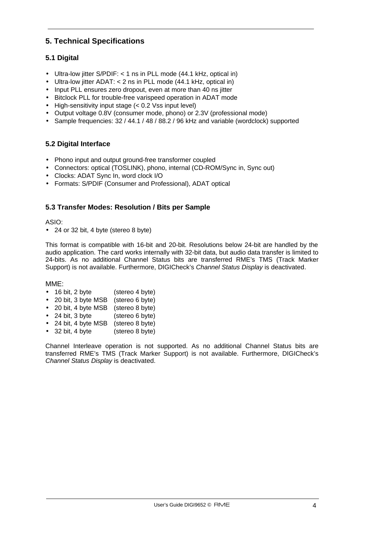# **5. Technical Specifications**

# **5.1 Digital**

- Ultra-low jitter S/PDIF: < 1 ns in PLL mode (44.1 kHz, optical in)
- Ultra-low jitter ADAT: < 2 ns in PLL mode (44.1 kHz, optical in)
- Input PLL ensures zero dropout, even at more than 40 ns jitter
- Bitclock PLL for trouble-free varispeed operation in ADAT mode
- High-sensitivity input stage (< 0.2 Vss input level)
- Output voltage 0.8V (consumer mode, phono) or 2.3V (professional mode)
- Sample frequencies: 32 / 44.1 / 48 / 88.2 / 96 kHz and variable (wordclock) supported

## **5.2 Digital Interface**

- Phono input and output ground-free transformer coupled
- Connectors: optical (TOSLINK), phono, internal (CD-ROM/Sync in, Sync out)
- Clocks: ADAT Sync In, word clock I/O
- Formats: S/PDIF (Consumer and Professional), ADAT optical

## **5.3 Transfer Modes: Resolution / Bits per Sample**

ASIO:

• 24 or 32 bit, 4 byte (stereo 8 byte)

This format is compatible with 16-bit and 20-bit. Resolutions below 24-bit are handled by the audio application. The card works internally with 32-bit data, but audio data transfer is limited to 24-bits. As no additional Channel Status bits are transferred RME's TMS (Track Marker Support) is not available. Furthermore, DIGICheck's *Channel Status Display* is deactivated.

MME:

- 16 bit, 2 byte (stereo 4 byte)
- 20 bit, 3 byte MSB (stereo 6 byte)
- 20 bit, 4 byte MSB (stereo 8 byte)
- 24 bit, 3 byte (stereo 6 byte)
- 24 bit, 4 byte MSB (stereo 8 byte)
- 32 bit, 4 byte (stereo 8 byte)

Channel Interleave operation is not supported. As no additional Channel Status bits are transferred RME's TMS (Track Marker Support) is not available. Furthermore, DIGICheck's *Channel Status Display* is deactivated.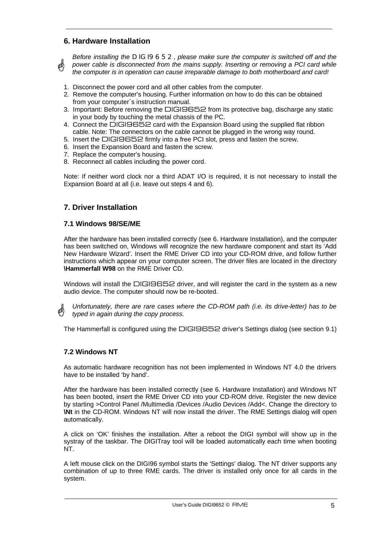# **6. Hardware Installation**

*Before installing the DIGI9652, please make sure the computer is switched off and the power cable is disconnected from the mains supply. Inserting or removing a PCI card while*  @) *the computer is in operation can cause irreparable damage to both motherboard and card!*

- 1. Disconnect the power cord and all other cables from the computer.
- 2. Remove the computer's housing. Further information on how to do this can be obtained from your computer´s instruction manual.
- 3. Important: Before removing the DIGI9652 from its protective bag, discharge any static in your body by touching the metal chassis of the PC.
- 4. Connect the DIGI9652 card with the Expansion Board using the supplied flat ribbon cable. Note: The connectors on the cable cannot be plugged in the wrong way round.
- 5. Insert the DIGI9652 firmly into a free PCI slot, press and fasten the screw.
- 6. Insert the Expansion Board and fasten the screw.
- 7. Replace the computer's housing.
- 8. Reconnect all cables including the power cord.

Note: If neither word clock nor a third ADAT I/O is required, it is not necessary to install the Expansion Board at all (i.e. leave out steps 4 and 6).

## **7. Driver Installation**

#### **7.1 Windows 98/SE/ME**

After the hardware has been installed correctly (see 6. Hardware Installation), and the computer has been switched on, Windows will recognize the new hardware component and start its 'Add New Hardware Wizard'. Insert the RME Driver CD into your CD-ROM drive, and follow further instructions which appear on your computer screen. The driver files are located in the directory **\Hammerfall W98** on the RME Driver CD.

Windows will install the DIGI9652 driver, and will register the card in the system as a new audio device. The computer should now be re-booted.



*Unfortunately, there are rare cases where the CD-ROM path (i.e. its drive-letter) has to be typed in again during the copy process.*

The Hammerfall is configured using the DIGI9652 driver's Settings dialog (see section 9.1)

## **7.2 Windows NT**

As automatic hardware recognition has not been implemented in Windows NT 4.0 the drivers have to be installed 'by hand'.

After the hardware has been installed correctly (see 6. Hardware Installation) and Windows NT has been booted, insert the RME Driver CD into your CD-ROM drive. Register the new device by starting >Control Panel /Multimedia /Devices /Audio Devices /Add<. Change the directory to **\Nt** in the CD-ROM. Windows NT will now install the driver. The RME Settings dialog will open automatically.

A click on 'OK' finishes the installation. After a reboot the DIGI symbol will show up in the systray of the taskbar. The DIGITray tool will be loaded automatically each time when booting NT.

A left mouse click on the DIGI96 symbol starts the 'Settings' dialog. The NT driver supports any combination of up to three RME cards. The driver is installed only once for all cards in the system.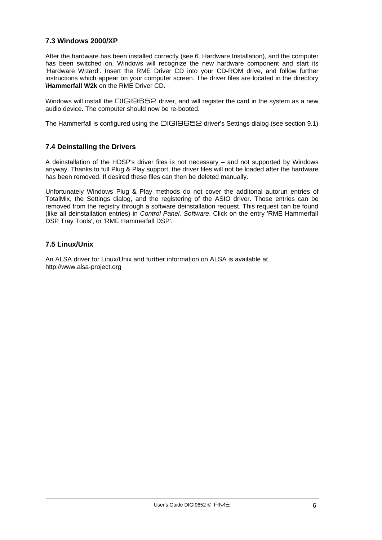## **7.3 Windows 2000/XP**

After the hardware has been installed correctly (see 6. Hardware Installation), and the computer has been switched on, Windows will recognize the new hardware component and start its 'Hardware Wizard'. Insert the RME Driver CD into your CD-ROM drive, and follow further instructions which appear on your computer screen. The driver files are located in the directory **\Hammerfall W2k** on the RME Driver CD.

Windows will install the DIGI9652 driver, and will register the card in the system as a new audio device. The computer should now be re-booted.

The Hammerfall is configured using the DIGI9652 driver's Settings dialog (see section 9.1)

## **7.4 Deinstalling the Drivers**

A deinstallation of the HDSP's driver files is not necessary – and not supported by Windows anyway. Thanks to full Plug & Play support, the driver files will not be loaded after the hardware has been removed. If desired these files can then be deleted manually.

Unfortunately Windows Plug & Play methods do not cover the additonal autorun entries of TotalMix, the Settings dialog, and the registering of the ASIO driver. Those entries can be removed from the registry through a software deinstallation request. This request can be found (like all deinstallation entries) in *Control Panel, Software*. Click on the entry 'RME Hammerfall DSP Tray Tools', or 'RME Hammerfall DSP'.

## **7.5 Linux/Unix**

An ALSA driver for Linux/Unix and further information on ALSA is available at http://www.alsa-project.org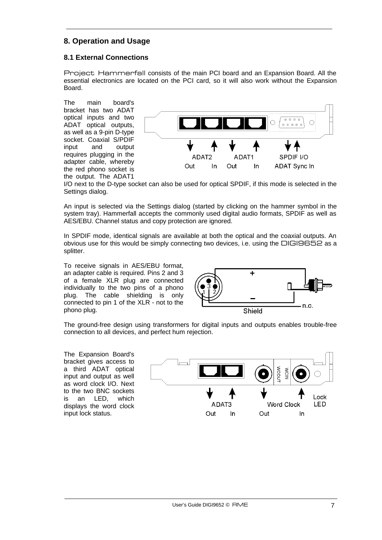# **8. Operation and Usage**

## **8.1 External Connections**

Project Hammerfall consists of the main PCI board and an Expansion Board. All the essential electronics are located on the PCI card, so it will also work without the Expansion Board.

The main board's bracket has two ADAT optical inputs and two ADAT optical outputs, as well as a 9-pin D-type socket. Coaxial S/PDIF input and output requires plugging in the adapter cable, whereby the red phono socket is the output. The ADAT1



I/O next to the D-type socket can also be used for optical SPDIF, if this mode is selected in the Settings dialog.

An input is selected via the Settings dialog (started by clicking on the hammer symbol in the system tray). Hammerfall accepts the commonly used digital audio formats, SPDIF as well as AES/EBU. Channel status and copy protection are ignored.

In SPDIF mode, identical signals are available at both the optical and the coaxial outputs. An obvious use for this would be simply connecting two devices, i.e. using the DIGI9652 as a splitter.

To receive signals in AES/EBU format, an adapter cable is required. Pins 2 and 3 of a female XLR plug are connected individually to the two pins of a phono plug. The cable shielding is only connected to pin 1 of the XLR - not to the phono plug.



The ground-free design using transformers for digital inputs and outputs enables trouble-free connection to all devices, and perfect hum rejection.

The Expansion Board's bracket gives access to a third ADAT optical input and output as well as word clock I/O. Next to the two BNC sockets is an LED, which displays the word clock input lock status.

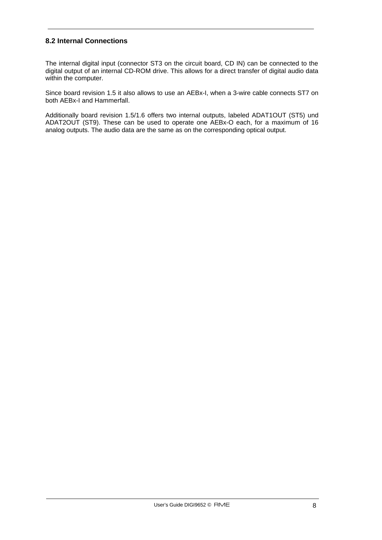## **8.2 Internal Connections**

The internal digital input (connector ST3 on the circuit board, CD IN) can be connected to the digital output of an internal CD-ROM drive. This allows for a direct transfer of digital audio data within the computer.

Since board revision 1.5 it also allows to use an AEBx-I, when a 3-wire cable connects ST7 on both AEBx-I and Hammerfall.

Additionally board revision 1.5/1.6 offers two internal outputs, labeled ADAT1OUT (ST5) und ADAT2OUT (ST9). These can be used to operate one AEBx-O each, for a maximum of 16 analog outputs. The audio data are the same as on the corresponding optical output.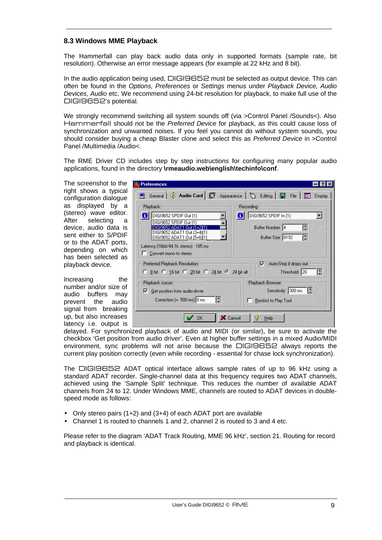## **8.3 Windows MME Playback**

The Hammerfall can play back audio data only in supported formats (sample rate, bit resolution). Otherwise an error message appears (for example at 22 kHz and 8 bit).

In the audio application being used, DIGI9652 must be selected as output device. This can often be found in the *Options, Preferences* or *Settings* menus under *Playback Device, Audio Devices, Audio* etc. We recommend using 24-bit resolution for playback, to make full use of the DIGI9652's potential.

We strongly recommend switching all system sounds off (via >Control Panel /Sounds<). Also Hammerfall should not be the *Preferred Device* for playback, as this could cause loss of synchronization and unwanted noises. If you feel you cannot do without system sounds, you should consider buying a cheap Blaster clone and select this as *Preferred Device* in >Control Panel /Multimedia /Audio<.

The RME Driver CD includes step by step instructions for configuring many popular audio applications, found in the directory **\rmeaudio.web\english\techinfo\conf**.

The screenshot to the right shows a typical configuration dialogue as displayed by a (stereo) wave editor. After selecting a device, audio data is sent either to S/PDIF or to the ADAT ports, depending on which has been selected as playback device.

Increasing the number and/or size of audio buffers may prevent the audio signal from breaking up, but also increases latency i.e. output is

| <b>Preferences</b>                                                                                                  |                                                    |
|---------------------------------------------------------------------------------------------------------------------|----------------------------------------------------|
| General   $\bigcirc$ : Audio Card   $\bigcirc$ Appearance   $\bigcirc$ Editing   $\boxdot$ File                     | Display                                            |
| <b>Playback</b>                                                                                                     | Recording                                          |
| DIGI9652 SPDIF Out (1)<br>ï<br>DIGI9652 SPDIF Out (1)<br>GI9652 ADAT<br>Out (1+2)(1)<br>DIGI9652 ADAT1 Out (3+4)(1) | DIGI9652 SPDIF In (1)<br>0<br>H<br>Buffer Number 4 |
| DIGI9652 ADAT1 Out (5+6)(1)<br>Latency (16bit/44.1k stereo) : 185 ms                                                | H<br>Buffer Size 8192                              |
| Convert mono to stereo                                                                                              |                                                    |
| Preferred Playback Resolution<br>C 8 bit C 16 bit C 20 bit C 24 bit C 24 bit alt                                    | Auto-Stop if drops out<br>⊽<br>H<br>Threshold 20   |
| Playback cursor                                                                                                     | Playback Browser                                   |
| $\nabla$ Get position from audio-driver                                                                             | Sensitivity 300 ms $\left  \right\rangle$          |
| H<br>Correction (+- 500 ms) 0 ms                                                                                    | <b>Restrict to Play Tool</b>                       |
| $\times$ Cancel<br>OΚ                                                                                               | v<br>Help                                          |

delayed. For synchronized playback of audio and MIDI (or similar), be sure to activate the checkbox 'Get position from audio driver'. Even at higher buffer settings in a mixed Audio/MIDI environment, sync problems will not arise because the DIGI9652 always reports the current play position correctly (even while recording - essential for chase lock synchronization).

The DIGI9652 ADAT optical interface allows sample rates of up to 96 kHz using a standard ADAT recorder. Single-channel data at this frequency requires two ADAT channels, achieved using the 'Sample Split' technique. This reduces the number of available ADAT channels from 24 to 12. Under Windows MME, channels are routed to ADAT devices in doublespeed mode as follows:

- Only stereo pairs (1+2) and (3+4) of each ADAT port are available
- Channel 1 is routed to channels 1 and 2, channel 2 is routed to 3 and 4 etc.

Please refer to the diagram 'ADAT Track Routing, MME 96 kHz', section 21. Routing for record and playback is identical.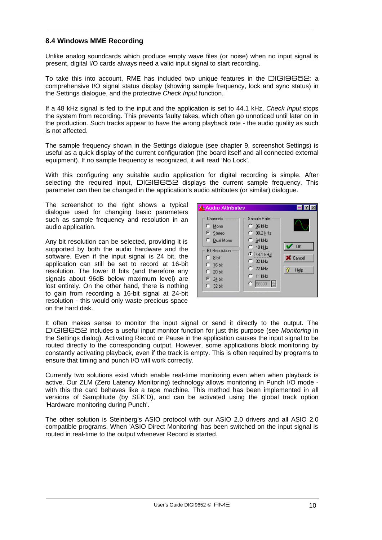## **8.4 Windows MME Recording**

Unlike analog soundcards which produce empty wave files (or noise) when no input signal is present, digital I/O cards always need a valid input signal to start recording.

To take this into account, RME has included two unique features in the DIGI9652: a comprehensive I/O signal status display (showing sample frequency, lock and sync status) in the Settings dialogue, and the protective *Check Input* function.

If a 48 kHz signal is fed to the input and the application is set to 44.1 kHz, *Check Input* stops the system from recording. This prevents faulty takes, which often go unnoticed until later on in the production. Such tracks appear to have the wrong playback rate - the audio quality as such is not affected.

The sample frequency shown in the Settings dialogue (see chapter 9, screenshot Settings) is useful as a quick display of the current configuration (the board itself and all connected external equipment). If no sample frequency is recognized, it will read 'No Lock'.

With this configuring any suitable audio application for digital recording is simple. After selecting the required input, DIGI9652 displays the current sample frequency. This parameter can then be changed in the application's audio attributes (or similar) dialogue.

The screenshot to the right shows a typical dialogue used for changing basic parameters such as sample frequency and resolution in an audio application.

Any bit resolution can be selected, providing it is supported by both the audio hardware and the software. Even if the input signal is 24 bit, the application can still be set to record at 16-bit resolution. The lower 8 bits (and therefore any signals about 96dB below maximum level) are lost entirely. On the other hand, there is nothing to gain from recording a 16-bit signal at 24-bit resolution - this would only waste precious space on the hard disk.



It often makes sense to monitor the input signal or send it directly to the output. The DIGI9652 includes a useful input monitor function for just this purpose (see *Monitoring* in the Settings dialog). Activating Record or Pause in the application causes the input signal to be routed directly to the corresponding output. However, some applications block monitoring by constantly activating playback, even if the track is empty. This is often required by programs to ensure that timing and punch I/O will work correctly.

Currently two solutions exist which enable real-time monitoring even when when playback is active. Our ZLM (Zero Latency Monitoring) technology allows monitoring in Punch I/O mode with this the card behaves like a tape machine. This method has been implemented in all versions of Samplitude (by SEK'D), and can be activated using the global track option 'Hardware monitoring during Punch'.

The other solution is Steinberg's ASIO protocol with our ASIO 2.0 drivers and all ASIO 2.0 compatible programs. When 'ASIO Direct Monitoring' has been switched on the input signal is routed in real-time to the output whenever Record is started.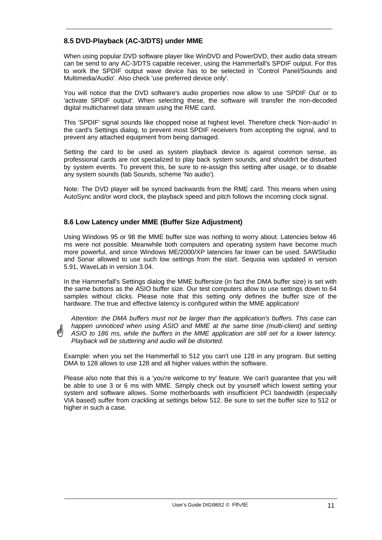# **8.5 DVD-Playback (AC-3/DTS) under MME**

When using popular DVD software player like WinDVD and PowerDVD, their audio data stream can be send to any AC-3/DTS capable receiver, using the Hammerfall's SPDIF output. For this to work the SPDIF output wave device has to be selected in 'Control Panel/Sounds and Multimedia/Audio'. Also check 'use preferred device only'.

You will notice that the DVD software's audio properties now allow to use 'SPDIF Out' or to 'activate SPDIF output'. When selecting these, the software will transfer the non-decoded digital multichannel data stream using the RME card.

This 'SPDIF' signal sounds like chopped noise at highest level. Therefore check 'Non-audio' in the card's Settings dialog, to prevent most SPDIF receivers from accepting the signal, and to prevent any attached equipment from being damaged.

Setting the card to be used as system playback device is against common sense, as professional cards are not specialized to play back system sounds, and shouldn't be disturbed by system events. To prevent this, be sure to re-assign this setting after usage, or to disable any system sounds (tab Sounds, scheme 'No audio').

Note: The DVD player will be synced backwards from the RME card. This means when using AutoSync and/or word clock, the playback speed and pitch follows the incoming clock signal.

## **8.6 Low Latency under MME (Buffer Size Adjustment)**

Using Windows 95 or 98 the MME buffer size was nothing to worry about. Latencies below 46 ms were not possible. Meanwhile both computers and operating system have become much more powerful, and since Windows ME/2000/XP latencies far lower can be used. SAWStudio and Sonar allowed to use such low settings from the start. Sequoia was updated in version 5.91, WaveLab in version 3.04.

In the Hammerfall's Settings dialog the MME buffersize (in fact the DMA buffer size) is set with the same buttons as the ASIO buffer size. Our test computers allow to use settings down to 64 samples without clicks. Please note that this setting only defines the buffer size of the hardware. The true and effective latency is configured within the MME application!

*Attention: the DMA buffers must not be larger than the application's buffers. This case can happen unnoticed when using ASIO and MME at the same time (multi-client) and setting ASIO to 186 ms, while the buffers in the MME application are still set for a lower latency. Playback will be stuttering and audio will be distorted.*

Example: when you set the Hammerfall to 512 you can't use 128 in any program. But setting DMA to 128 allows to use 128 and all higher values within the software.

Please also note that this is a 'you're welcome to try' feature. We can't guarantee that you will be able to use 3 or 6 ms with MME. Simply check out by yourself which lowest setting your system and software allows. Some motherboards with insufficient PCI bandwidth (especially VIA based) suffer from crackling at settings below 512. Be sure to set the buffer size to 512 or higher in such a case.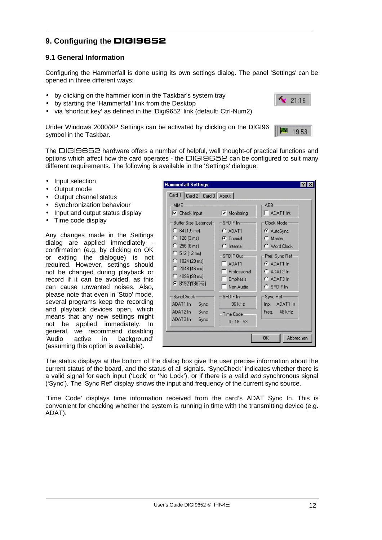# **9. Configuring the** DIGI9652

## **9.1 General Information**

Configuring the Hammerfall is done using its own settings dialog. The panel 'Settings' can be opened in three different ways:

- by clicking on the hammer icon in the Taskbar's system tray
- by starting the 'Hammerfall' link from the Desktop
- via 'shortcut key' as defined in the 'Digi9652' link (default: Ctrl-Num2)

Under Windows 2000/XP Settings can be activated by clicking on the DIGI96 symbol in the Taskbar.

The DIGI9652 hardware offers a number of helpful, well thought-of practical functions and options which affect how the card operates - the DIGI9652 can be configured to suit many different requirements. The following is available in the 'Settings' dialogue:

- Input selection
- Output mode
- Output channel status
- Synchronization behaviour
- Input and output status display
- Time code display

Any changes made in the Settings dialog are applied immediately confirmation (e.g. by clicking on OK or exiting the dialogue) is not required. However, settings should not be changed during playback or record if it can be avoided, as this can cause unwanted noises. Also, please note that even in 'Stop' mode, several programs keep the recording and playback devices open, which means that any new settings might not be applied immediately. In general, we recommend disabling 'Audio active in background' (assuming this option is available).

| <b>Hammerfall Settings</b>                                                                                                                                           |                                                                                               |                                                                                                           |  |  |
|----------------------------------------------------------------------------------------------------------------------------------------------------------------------|-----------------------------------------------------------------------------------------------|-----------------------------------------------------------------------------------------------------------|--|--|
| Card 1   Card 2   Card 3   About                                                                                                                                     |                                                                                               |                                                                                                           |  |  |
| MME<br>$\nabla$ Check Input<br>Buffer Size (Latency) <sub>1</sub><br>$C$ 64 (1,5 ms)<br>$C$ 128 (3 ms)<br>$256(6)$ ms)<br>n<br>$C$ 512 (12 ms)<br>1024 (23 ms)<br>U. | $\nabla$ Monitoring<br>SPDIF In-<br>$C$ ADAT1<br>C Coaxial<br>$\Gamma$ Internal<br>SPDIF Out- | AEB-<br>$-$ ADAT1 Int.<br>Clock Mode-<br>C AutoSync<br>$C$ Master<br>$\cap$ Word Clock<br>Pref. Sync Ref- |  |  |
| $\degree$ 2048 (46 ms)<br>$C$ 4096 (93 ms)<br><b>⊙</b> 8192 (186 ms)                                                                                                 | ADAT1<br>Professional<br>Emphasis<br>Non-Audio                                                | $G$ ADAT1 In<br>$C$ ADAT2 In<br>$C$ ADAT3 In<br>$C$ SPDIF In                                              |  |  |
| SyncCheck:<br>ADAT1 In<br>Sync<br>ADAT2 In<br>Sync<br>ADAT3 In<br>Sync                                                                                               | $SPDIF$ $In =$<br>96 kHz<br>Time Code:<br>0:18:53                                             | Sync Ref --<br>ADAT1 In<br>Inp.<br>Freq. 48 kHz                                                           |  |  |
|                                                                                                                                                                      |                                                                                               | Abbrechen<br>OK                                                                                           |  |  |

The status displays at the bottom of the dialog box give the user precise information about the current status of the board, and the status of all signals. 'SyncCheck' indicates whether there is a valid signal for each input ('Lock' or 'No Lock'), or if there is a valid *and* synchronous signal ('Sync'). The 'Sync Ref' display shows the input and frequency of the current sync source.

'Time Code' displays time information received from the card's ADAT Sync In. This is convenient for checking whether the system is running in time with the transmitting device (e.g. ADAT).



**Ball** 

19:53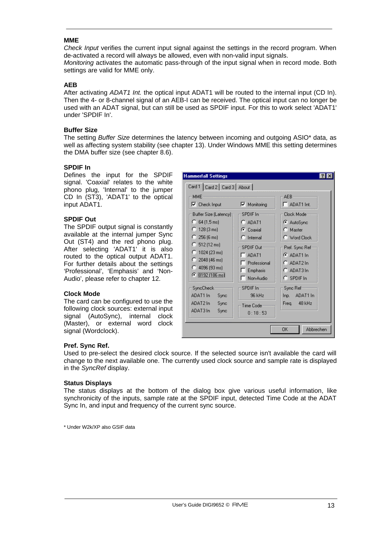#### **MME**

*Check Input* verifies the current input signal against the settings in the record program. When de-activated a record will always be allowed, even with non-valid input signals. *Monitoring* activates the automatic pass-through of the input signal when in record mode. Both settings are valid for MME only.

#### **AEB**

After activating *ADAT1 Int.* the optical input ADAT1 will be routed to the internal input (CD In). Then the 4- or 8-channel signal of an AEB-I can be received. The optical input can no longer be used with an ADAT signal, but can still be used as SPDIF input. For this to work select 'ADAT1' under 'SPDIF In'.

#### **Buffer Size**

The setting *Buffer Size* determines the latency between incoming and outgoing ASIO\* data, as well as affecting system stability (see chapter 13). Under Windows MME this setting determines the DMA buffer size (see chapter 8.6).

#### **SPDIF In**

Defines the input for the SPDIF signal. 'Coaxial' relates to the white phono plug, 'Internal' to the jumper CD In (ST3), 'ADAT1' to the optical input ADAT1.

#### **SPDIF Out**

The SPDIF output signal is constantly available at the internal jumper Sync Out (ST4) and the red phono plug. After selecting 'ADAT1' it is also routed to the optical output ADAT1. For further details about the settings 'Professional', 'Emphasis' and 'Non-Audio', please refer to chapter 12.

#### **Clock Mode**

The card can be configured to use the following clock sources: external input signal (AutoSync), internal clock (Master), or external word clock signal (Wordclock).

| <b>Hammerfall Settings</b><br>Card 1   Card 2   Card 3   About                                                                                                                                                                             |                                                                                                                                                                                 |                                                                                                                                                                           |  |
|--------------------------------------------------------------------------------------------------------------------------------------------------------------------------------------------------------------------------------------------|---------------------------------------------------------------------------------------------------------------------------------------------------------------------------------|---------------------------------------------------------------------------------------------------------------------------------------------------------------------------|--|
| MME<br>$\nabla$ Check Input<br>Buffer Size (Latency) <sub>7</sub><br>$C$ 64 (1,5 ms)<br>$C$ 128 (3 ms)<br>$256(6)$ ms)<br>n<br>$C$ 512 (12 ms)<br>$\bigcap$ 1024 (23 ms)<br>$C$ 2048 (46 ms)<br>$C$ 4096 (93 ms)<br><b>●</b> 8192 (186 ms) | $\nabla$ Monitoring<br>SPDIF In-<br>$C$ ADAT1<br>$\sigma$ Coaxial<br>$\Gamma$ Internal<br>SPDIF Out-<br>$\overline{\phantom{a}}$ ADAT1<br>Professional<br>Emphasis<br>Non-Audio | AEB<br>$-$ ADAT1 Int.<br>Clock Mode-<br>C AutoSync<br>$\bigcap$ Master<br>C Word Clock<br>Pref. Sync Ref-<br>$G$ ADAT1 In<br>$C$ ADAT2 In<br>$C$ ADAT3 In<br>$C$ SPDIF In |  |
| SyncCheck:<br>ADAT1 In<br>Sync<br>ADAT2 In<br>Sync<br>ADAT3 In<br>Sync                                                                                                                                                                     | $SPDIF$ $In =$<br>96 kHz<br>Time Code-<br>0:18:53                                                                                                                               | Sync Ref<br>ADAT1 In<br>Inp. .<br>Freq. 48 kHz<br>Abbrechen<br>0K                                                                                                         |  |

#### **Pref. Sync Ref.**

Used to pre-select the desired clock source. If the selected source isn't available the card will change to the next available one. The currently used clock source and sample rate is displayed in the *SyncRef* display.

#### **Status Displays**

The status displays at the bottom of the dialog box give various useful information, like synchronicity of the inputs, sample rate at the SPDIF input, detected Time Code at the ADAT Sync In, and input and frequency of the current sync source.

\* Under W2k/XP also GSIF data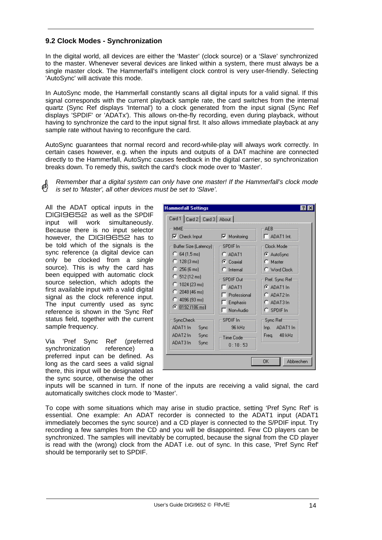## **9.2 Clock Modes - Synchronization**

In the digital world, all devices are either the 'Master' (clock source) or a 'Slave' synchronized to the master. Whenever several devices are linked within a system, there must always be a single master clock. The Hammerfall's intelligent clock control is very user-friendly. Selecting 'AutoSync' will activate this mode.

In AutoSync mode, the Hammerfall constantly scans all digital inputs for a valid signal. If this signal corresponds with the current playback sample rate, the card switches from the internal quartz (Sync Ref displays 'Internal') to a clock generated from the input signal (Sync Ref displays 'SPDIF' or 'ADATx'). This allows on-the-fly recording, even during playback, without having to synchronize the card to the input signal first. It also allows immediate playback at any sample rate without having to reconfigure the card.

AutoSync guarantees that normal record and record-while-play will always work correctly. In certain cases however, e.g. when the inputs and outputs of a DAT machine are connected directly to the Hammerfall, AutoSync causes feedback in the digital carrier, so synchronization breaks down. To remedy this, switch the card's clock mode over to 'Master'.

*Remember that a digital system can only have one master! If the Hammerfall's clock mode is set to 'Master', all other devices must be set to 'Slave'.*

All the ADAT optical inputs in the DIGI9652 as well as the SPDIF input will work simultaneously. Because there is no input selector however, the **DIGI9652** has to be told which of the signals is the sync reference (a digital device can only be clocked from a *single* source). This is why the card has been equipped with automatic clock source selection, which adopts the first available input with a valid digital signal as the clock reference input. The input currently used as sync reference is shown in the 'Sync Ref' status field, together with the current sample frequency.

Via 'Pref Sync Ref' (preferred synchronization reference) a preferred input can be defined. As long as the card sees a valid signal there, this input will be designated as the sync source, otherwise the other

| <b>Hammerfall Settings</b>                                                                                   |                                                                   |                                                                                |  |  |
|--------------------------------------------------------------------------------------------------------------|-------------------------------------------------------------------|--------------------------------------------------------------------------------|--|--|
| Card 1   Card 2   Card 3   About                                                                             |                                                                   |                                                                                |  |  |
| <b>MME</b><br>$\nabla$ Check Input                                                                           | $\nabla$ Monitoring                                               | $AEB -$<br>ADAT1 Int.                                                          |  |  |
| Buffer Size (Latency)<br>$C$ 64 (1,5 ms)<br>$C$ 128 (3 ms)<br>$C$ 256 (6 ms)                                 | SPDIF In-<br>$C$ ADAT1<br>C Coaxial<br>$\Gamma$ Internal          | Clock Mode-<br>C AutoSync<br>$\bigcap$ Master<br>C Word Clock                  |  |  |
| $C$ 512 (12 ms)<br>$\bigcirc$ 1024 (23 ms)<br>$C$ 2048 (46 ms)<br>$C$ 4096 (93 ms)<br><b>⊙</b> 8192 (186 ms) | SPDIF Out-<br>ADAT1<br>٦<br>Professional<br>Emphasis<br>Non-Audio | Pref. Sync Ref<br>$G$ ADAT1 In<br>$C$ ADAT2 In<br>$C$ ADAT3 In<br>$C$ SPDIF In |  |  |
| SyncCheck:<br>ADAT1 In<br>Sync<br>ADAT2 In<br>Sync<br>ADAT3 In<br>Sync                                       | $SPDIF$ $In =$<br>96 kHz<br>Time Code:<br>0:18:53                 | Sync Ref =<br>ADAT1 In<br>Inp.<br>Freq. 48 kHz                                 |  |  |
|                                                                                                              |                                                                   | Abbrechen<br>OK                                                                |  |  |

inputs will be scanned in turn. If none of the inputs are receiving a valid signal, the card automatically switches clock mode to 'Master'.

To cope with some situations which may arise in studio practice, setting 'Pref Sync Ref' is essential. One example: An ADAT recorder is connected to the ADAT1 input (ADAT1 immediately becomes the sync source) and a CD player is connected to the S/PDIF input. Try recording a few samples from the CD and you will be disappointed. Few CD players can be synchronized. The samples will inevitably be corrupted, because the signal from the CD player is read with the (wrong) clock from the ADAT i.e. out of sync. In this case, 'Pref Sync Ref' should be temporarily set to SPDIF.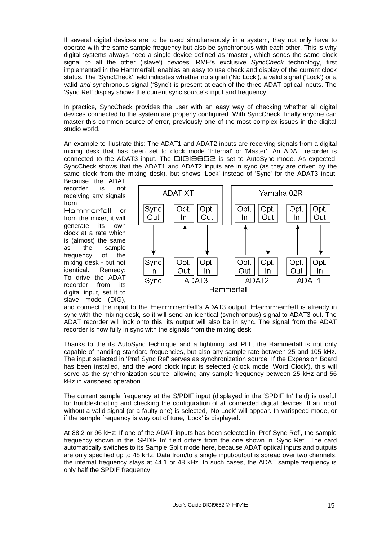If several digital devices are to be used simultaneously in a system, they not only have to operate with the same sample frequency but also be synchronous with each other. This is why digital systems always need a single device defined as 'master', which sends the same clock signal to all the other ('slave') devices. RME's exclusive *SyncCheck* technology, first implemented in the Hammerfall, enables an easy to use check and display of the current clock status. The 'SyncCheck' field indicates whether no signal ('No Lock'), a valid signal ('Lock') or a valid *and* synchronous signal ('Sync') is present at each of the three ADAT optical inputs. The 'Sync Ref' display shows the current sync source's input and frequency.

In practice, SyncCheck provides the user with an easy way of checking whether all digital devices connected to the system are properly configured. With SyncCheck, finally anyone can master this common source of error, previously one of the most complex issues in the digital studio world.

An example to illustrate this: The ADAT1 and ADAT2 inputs are receiving signals from a digital mixing desk that has been set to clock mode 'Internal' or 'Master'. An ADAT recorder is connected to the ADAT3 input. The DIGI9652 is set to AutoSync mode. As expected, SyncCheck shows that the ADAT1 and ADAT2 inputs are in sync (as they are driven by the same clock from the mixing desk), but shows 'Lock' instead of 'Sync' for the ADAT3 input.

Because the ADAT recorder is not receiving any signals from

Hammerfall or from the mixer, it will generate its own clock at a rate which is (almost) the same as the sample frequency of the mixing desk - but not identical. Remedy: To drive the ADAT recorder from its digital input, set it to slave mode (DIG),



and connect the input to the Hammerfall's ADAT3 output. Hammerfall is already in sync with the mixing desk, so it will send an identical (synchronous) signal to ADAT3 out. The ADAT recorder will lock onto this, its output will also be in sync. The signal from the ADAT recorder is now fully in sync with the signals from the mixing desk.

Thanks to the its AutoSync technique and a lightning fast PLL, the Hammerfall is not only capable of handling standard frequencies, but also any sample rate between 25 and 105 kHz. The input selected in 'Pref Sync Ref' serves as synchronization source. If the Expansion Board has been installed, and the word clock input is selected (clock mode 'Word Clock'), this will serve as the synchronization source, allowing any sample frequency between 25 kHz and 56 kHz in varispeed operation.

The current sample frequency at the S/PDIF input (displayed in the 'SPDIF In' field) is useful for troubleshooting and checking the configuration of all connected digital devices. If an input without a valid signal (or a faulty one) is selected, 'No Lock' will appear. In varispeed mode, or if the sample frequency is way out of tune, 'Lock' is displayed.

At 88.2 or 96 kHz: If one of the ADAT inputs has been selected in 'Pref Sync Ref', the sample frequency shown in the 'SPDIF In' field differs from the one shown in 'Sync Ref'. The card automatically switches to its Sample Split mode here, because ADAT optical inputs and outputs are only specified up to 48 kHz. Data from/to a single input/output is spread over two channels, the internal frequency stays at 44.1 or 48 kHz. In such cases, the ADAT sample frequency is only half the SPDIF frequency.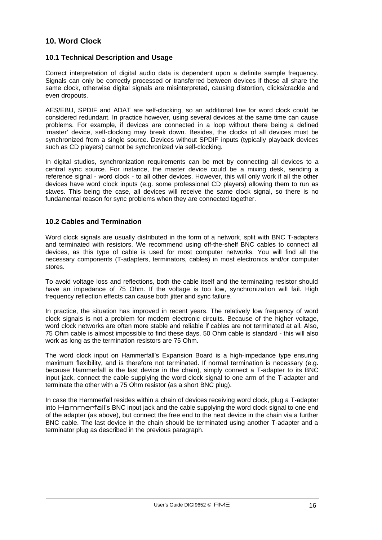# **10. Word Clock**

### **10.1 Technical Description and Usage**

Correct interpretation of digital audio data is dependent upon a definite sample frequency. Signals can only be correctly processed or transferred between devices if these all share the same clock, otherwise digital signals are misinterpreted, causing distortion, clicks/crackle and even dropouts.

AES/EBU, SPDIF and ADAT are self-clocking, so an additional line for word clock could be considered redundant. In practice however, using several devices at the same time can cause problems. For example, if devices are connected in a loop without there being a defined 'master' device, self-clocking may break down. Besides, the clocks of all devices must be synchronized from a single source. Devices without SPDIF inputs (typically playback devices such as CD players) cannot be synchronized via self-clocking.

In digital studios, synchronization requirements can be met by connecting all devices to a central sync source. For instance, the master device could be a mixing desk, sending a reference signal - word clock - to all other devices. However, this will only work if all the other devices have word clock inputs (e.g. some professional CD players) allowing them to run as slaves. This being the case, all devices will receive the same clock signal, so there is no fundamental reason for sync problems when they are connected together.

## **10.2 Cables and Termination**

Word clock signals are usually distributed in the form of a network, split with BNC T-adapters and terminated with resistors. We recommend using off-the-shelf BNC cables to connect all devices, as this type of cable is used for most computer networks. You will find all the necessary components (T-adapters, terminators, cables) in most electronics and/or computer stores.

To avoid voltage loss and reflections, both the cable itself and the terminating resistor should have an impedance of 75 Ohm. If the voltage is too low, synchronization will fail. High frequency reflection effects can cause both jitter and sync failure.

In practice, the situation has improved in recent years. The relatively low frequency of word clock signals is not a problem for modern electronic circuits. Because of the higher voltage, word clock networks are often more stable and reliable if cables are not terminated at all. Also, 75 Ohm cable is almost impossible to find these days. 50 Ohm cable is standard - this will also work as long as the termination resistors are 75 Ohm.

The word clock input on Hammerfall's Expansion Board is a high-impedance type ensuring maximum flexibility, and is therefore not terminated. If normal termination is necessary (e.g. because Hammerfall is the last device in the chain), simply connect a T-adapter to its BNC input jack, connect the cable supplying the word clock signal to one arm of the T-adapter and terminate the other with a 75 Ohm resistor (as a short BNC plug).

In case the Hammerfall resides within a chain of devices receiving word clock, plug a T-adapter into Hammerfall's BNC input jack and the cable supplying the word clock signal to one end of the adapter (as above), but connect the free end to the next device in the chain via a further BNC cable. The last device in the chain should be terminated using another T-adapter and a terminator plug as described in the previous paragraph.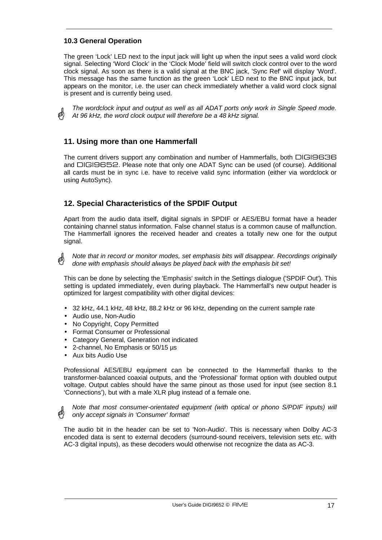## **10.3 General Operation**

The green 'Lock' LED next to the input jack will light up when the input sees a valid word clock signal. Selecting 'Word Clock' in the 'Clock Mode' field will switch clock control over to the word clock signal. As soon as there is a valid signal at the BNC jack, 'Sync Ref' will display 'Word'. This message has the same function as the green 'Lock' LED next to the BNC input jack, but appears on the monitor, i.e. the user can check immediately whether a valid word clock signal is present and is currently being used.

*The wordclock input and output as well as all ADAT ports only work in Single Speed mode. At 96 kHz, the word clock output will therefore be a 48 kHz signal.*

# **11. Using more than one Hammerfall**

The current drivers support any combination and number of Hammerfalls, both DIGI9636 and DIGI9652. Please note that only one ADAT Sync can be used (of course). Additional all cards must be in sync i.e. have to receive valid sync information (either via wordclock or using AutoSync).

# **12. Special Characteristics of the SPDIF Output**

Apart from the audio data itself, digital signals in SPDIF or AES/EBU format have a header containing channel status information. False channel status is a common cause of malfunction. The Hammerfall ignores the received header and creates a totally new one for the output signal.

*Note that in record or monitor modes, set emphasis bits will disappear. Recordings originally done with emphasis should always be played back with the emphasis bit set!*

This can be done by selecting the 'Emphasis' switch in the Settings dialogue ('SPDIF Out'). This setting is updated immediately, even during playback. The Hammerfall's new output header is optimized for largest compatibility with other digital devices:

- 32 kHz, 44.1 kHz, 48 kHz, 88.2 kHz or 96 kHz, depending on the current sample rate
- Audio use, Non-Audio
- No Copyright, Copy Permitted
- Format Consumer or Professional
- Category General, Generation not indicated
- 2-channel, No Emphasis or 50/15 µs
- Aux bits Audio Use

Professional AES/EBU equipment can be connected to the Hammerfall thanks to the transformer-balanced coaxial outputs, and the 'Professional' format option with doubled output voltage. Output cables should have the same pinout as those used for input (see section 8.1 'Connections'), but with a male XLR plug instead of a female one.

*Note that most consumer-orientated equipment (with optical or phono S/PDIF inputs) will only accept signals in 'Consumer' format!*

The audio bit in the header can be set to 'Non-Audio'. This is necessary when Dolby AC-3 encoded data is sent to external decoders (surround-sound receivers, television sets etc. with AC-3 digital inputs), as these decoders would otherwise not recognize the data as AC-3.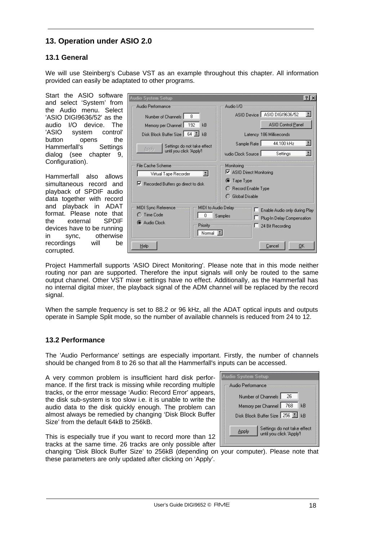# **13. Operation under ASIO 2.0**

## **13.1 General**

We will use Steinberg's Cubase VST as an example throughout this chapter. All information provided can easily be adaptated to other programs.

Start the ASIO software [ and select 'System' from the Audio menu. Select 'ASIO DIGI9636/52' as the audio I/O device. The 'ASIO system control' button opens the Hammerfall's Settings dialog (see chapter 9, Configuration).

Hammerfall also allows simultaneous record and playback of SPDIF audio data together with record and playback in ADAT format. Please note that<br>the external SPDIF the external devices have to be running in sync, otherwise recordings will be corrupted.

| udio System Setup                                                                                          | 2x                                                                                                     |
|------------------------------------------------------------------------------------------------------------|--------------------------------------------------------------------------------------------------------|
| Audio Performance                                                                                          | Audio 1/0                                                                                              |
| 8<br>Number of Channels                                                                                    | ASIO Device   ASIO DIGI9636/52                                                                         |
| 192<br>Memory per Channel  <br>kB                                                                          | ASIO Control Panel                                                                                     |
| Disk Block Buffer Size   64<br>kB                                                                          | Latency 186 Milliseconds                                                                               |
| Settings do not take effect                                                                                | E<br>44.100 kHz<br>Sample Rate                                                                         |
| Apply<br>until you click 'Apply'!                                                                          | 픠<br>Audio Clock Source<br>Settings                                                                    |
| File Cache Scheme<br>E<br>Virtual Tape Recorder<br>Recorded Buffers go direct to disk                      | Monitoring<br>■ ASIO Direct Monitoring<br><b>O</b> Tape Type<br>◯ Record Enable Type<br>Global Disable |
| MIDI Sync Reference<br>MIDI to Audio Delay<br>Time Code<br>0<br>C Audio Clock<br><b>Priority</b><br>Normal | Enable Audio only during Play<br>Samples<br>Plug-In Delay Compensation<br>24 Bit Recording             |
| Help                                                                                                       | OΚ<br>Cancel                                                                                           |

Project Hammerfall supports 'ASIO Direct Monitoring'. Please note that in this mode neither routing nor pan are supported. Therefore the input signals will only be routed to the same output channel. Other VST mixer settings have no effect. Additionally, as the Hammerfall has no internal digital mixer, the playback signal of the ADM channel will be replaced by the record signal.

When the sample frequency is set to 88.2 or 96 kHz, all the ADAT optical inputs and outputs operate in Sample Split mode, so the number of available channels is reduced from 24 to 12.

## **13.2 Performance**

The 'Audio Performance' settings are especially important. Firstly, the number of channels should be changed from 8 to 26 so that all the Hammerfall's inputs can be accessed.

A very common problem is insufficient hard disk performance. If the first track is missing while recording multiple tracks, or the error message 'Audio: Record Error' appears, the disk sub-system is too slow i.e. it is unable to write the audio data to the disk quickly enough. The problem can almost always be remedied by changing 'Disk Block Buffer Size' from the default 64kB to 256kB.

| Audio System Setup                                               |  |  |  |
|------------------------------------------------------------------|--|--|--|
| Audio Performance                                                |  |  |  |
| Number of Channels  <br>26                                       |  |  |  |
| Memory per Channel   768<br>kB                                   |  |  |  |
| Disk Block Buffer Size   256     kB                              |  |  |  |
| Settings do not take effect<br>Applu<br>until you click 'Apply'! |  |  |  |

This is especially true if you want to record more than 12 tracks at the same time. 26 tracks are only possible after

changing 'Disk Block Buffer Size' to 256kB (depending on your computer). Please note that these parameters are only updated after clicking on 'Apply'.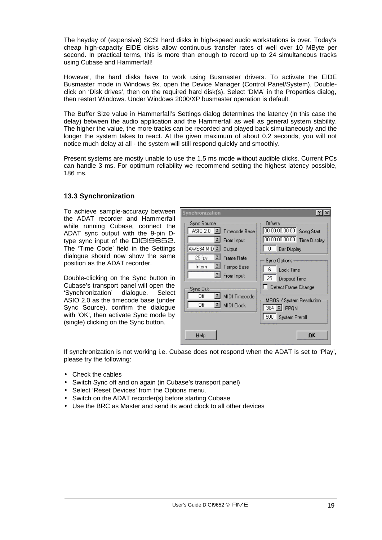The heyday of (expensive) SCSI hard disks in high-speed audio workstations is over. Today's cheap high-capacity EIDE disks allow continuous transfer rates of well over 10 MByte per second. In practical terms, this is more than enough to record up to 24 simultaneous tracks using Cubase and Hammerfall!

However, the hard disks have to work using Busmaster drivers. To activate the EIDE Busmaster mode in Windows 9x, open the Device Manager (Control Panel/System). Doubleclick on 'Disk drives', then on the required hard disk(s). Select 'DMA' in the Properties dialog, then restart Windows. Under Windows 2000/XP busmaster operation is default.

The Buffer Size value in Hammerfall's Settings dialog determines the latency (in this case the delay) between the audio application and the Hammerfall as well as general system stability. The higher the value, the more tracks can be recorded and played back simultaneously and the longer the system takes to react. At the given maximum of about 0.2 seconds, you will not notice much delay at all - the system will still respond quickly and smoothly.

Present systems are mostly unable to use the 1.5 ms mode without audible clicks. Current PCs can handle 3 ms. For optimum reliability we recommend setting the highest latency possible, 186 ms.

## **13.3 Synchronization**

To achieve sample-accuracy between the ADAT recorder and Hammerfall while running Cubase, connect the ADAT sync output with the 9-pin Dtype sync input of the DIGI9652. The 'Time Code' field in the Settings dialogue should now show the same position as the ADAT recorder.

Double-clicking on the Sync button in Cubase's transport panel will open the 'Synchronization' dialogue. Select ASIO 2.0 as the timecode base (under Sync Source), confirm the dialogue with 'OK', then activate Sync mode by (single) clicking on the Sync button.

| <b>Synchronization</b>                                                                                                                         |                                                                                                                                                                                                                                                                      |  |
|------------------------------------------------------------------------------------------------------------------------------------------------|----------------------------------------------------------------------------------------------------------------------------------------------------------------------------------------------------------------------------------------------------------------------|--|
| Sync Source<br>$\overline{AS102.0}$<br>Timecode Base<br>From Input<br>AWE64 MID 4 Output<br>$I$ Frame Rate<br>25 fps<br>I Tempo Base<br>Intern | Offsets<br>00:00:00:00:00<br>Song Start<br>00:00:00:00:00<br><b>Time Display</b><br>0<br>Bar Display<br><b>Sync Options</b><br>ĥ<br>Lock Time<br>25<br>Dropout Time<br>Detect Frame Change<br>MROS / System Resolution<br>384 1 PPQN<br>500<br><b>System Preroll</b> |  |
| $I$ From Input<br>Sync Out<br>MIDI Timecode<br>Off<br>페<br>Off<br>MIDI Clock                                                                   |                                                                                                                                                                                                                                                                      |  |
| Help                                                                                                                                           | OK                                                                                                                                                                                                                                                                   |  |

If synchronization is not working i.e. Cubase does not respond when the ADAT is set to 'Play', please try the following:

- Check the cables
- Switch Sync off and on again (in Cubase's transport panel)
- Select 'Reset Devices' from the Options menu.
- Switch on the ADAT recorder(s) before starting Cubase
- Use the BRC as Master and send its word clock to all other devices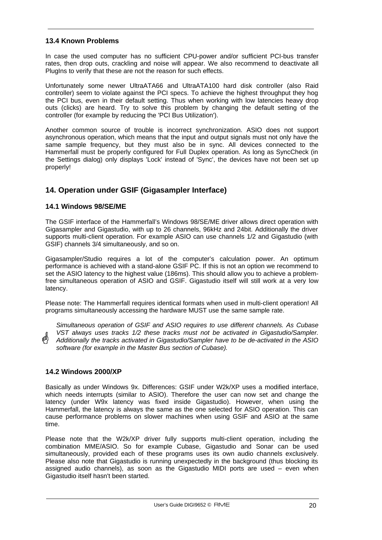## **13.4 Known Problems**

In case the used computer has no sufficient CPU-power and/or sufficient PCI-bus transfer rates, then drop outs, crackling and noise will appear. We also recommend to deactivate all PlugIns to verify that these are not the reason for such effects.

Unfortunately some newer UltraATA66 and UltraATA100 hard disk controller (also Raid controller) seem to violate against the PCI specs. To achieve the highest throughput they hog the PCI bus, even in their default setting. Thus when working with low latencies heavy drop outs (clicks) are heard. Try to solve this problem by changing the default setting of the controller (for example by reducing the 'PCI Bus Utilization').

Another common source of trouble is incorrect synchronization. ASIO does not support asynchronous operation, which means that the input and output signals must not only have the same sample frequency, but they must also be in sync. All devices connected to the Hammerfall must be properly configured for Full Duplex operation. As long as SyncCheck (in the Settings dialog) only displays 'Lock' instead of 'Sync', the devices have not been set up properly!

# **14. Operation under GSIF (Gigasampler Interface)**

## **14.1 Windows 98/SE/ME**

The GSIF interface of the Hammerfall's Windows 98/SE/ME driver allows direct operation with Gigasampler and Gigastudio, with up to 26 channels, 96kHz and 24bit. Additionally the driver supports multi-client operation. For example ASIO can use channels 1/2 and Gigastudio (with GSIF) channels 3/4 simultaneously, and so on.

Gigasampler/Studio requires a lot of the computer's calculation power. An optimum performance is achieved with a stand-alone GSIF PC. If this is not an option we recommend to set the ASIO latency to the highest value (186ms). This should allow you to achieve a problemfree simultaneous operation of ASIO and GSIF. Gigastudio itself will still work at a very low latency.

Please note: The Hammerfall requires identical formats when used in multi-client operation! All programs simultaneously accessing the hardware MUST use the same sample rate.

*Simultaneous operation of GSIF and ASIO requires to use different channels. As Cubase VST always uses tracks 1/2 these tracks must not be activated in Gigastudio/Sampler. Additionally the tracks activated in Gigastudio/Sampler have to be de-activated in the ASIO software (for example in the Master Bus section of Cubase).*

## **14.2 Windows 2000/XP**

Basically as under Windows 9x. Differences: GSIF under W2k/XP uses a modified interface, which needs interrupts (similar to ASIO). Therefore the user can now set and change the latency (under W9x latency was fixed inside Gigastudio). However, when using the Hammerfall, the latency is always the same as the one selected for ASIO operation. This can cause performance problems on slower machines when using GSIF and ASIO at the same time.

Please note that the W2k/XP driver fully supports multi-client operation, including the combination MME/ASIO. So for example Cubase, Gigastudio and Sonar can be used simultaneously, provided each of these programs uses its own audio channels exclusively. Please also note that Gigastudio is running unexpectedly in the background (thus blocking its assigned audio channels), as soon as the Gigastudio MIDI ports are used – even when Gigastudio itself hasn't been started.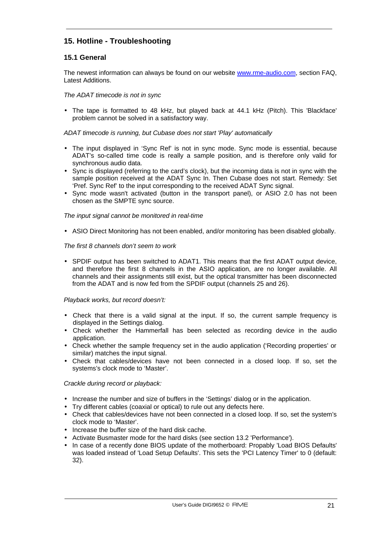# **15. Hotline - Troubleshooting**

## **15.1 General**

The newest information can always be found on our website www.rme-audio.com, section FAQ, Latest Additions.

*The ADAT timecode is not in sync*

• The tape is formatted to 48 kHz, but played back at 44.1 kHz (Pitch). This 'Blackface' problem cannot be solved in a satisfactory way.

#### *ADAT timecode is running, but Cubase does not start 'Play' automatically*

- The input displayed in 'Sync Ref' is not in sync mode. Sync mode is essential, because ADAT's so-called time code is really a sample position, and is therefore only valid for synchronous audio data.
- Sync is displayed (referring to the card's clock), but the incoming data is not in sync with the sample position received at the ADAT Sync In. Then Cubase does not start. Remedy: Set 'Pref. Sync Ref' to the input corresponding to the received ADAT Sync signal.
- Sync mode wasn't activated (button in the transport panel), or ASIO 2.0 has not been chosen as the SMPTE sync source.

#### *The input signal cannot be monitored in real-time*

• ASIO Direct Monitoring has not been enabled, and/or monitoring has been disabled globally.

#### *The first 8 channels don't seem to work*

• SPDIF output has been switched to ADAT1. This means that the first ADAT output device, and therefore the first 8 channels in the ASIO application, are no longer available. All channels and their assignments still exist, but the optical transmitter has been disconnected from the ADAT and is now fed from the SPDIF output (channels 25 and 26).

#### *Playback works, but record doesn't:*

- Check that there is a valid signal at the input. If so, the current sample frequency is displayed in the Settings dialog.
- Check whether the Hammerfall has been selected as recording device in the audio application.
- Check whether the sample frequency set in the audio application ('Recording properties' or similar) matches the input signal.
- Check that cables/devices have not been connected in a closed loop. If so, set the systems's clock mode to 'Master'.

#### *Crackle during record or playback:*

- Increase the number and size of buffers in the 'Settings' dialog or in the application.
- Try different cables (coaxial or optical) to rule out any defects here.
- Check that cables/devices have not been connected in a closed loop. If so, set the system's clock mode to 'Master'.
- Increase the buffer size of the hard disk cache.
- Activate Busmaster mode for the hard disks (see section 13.2 'Performance').
- In case of a recently done BIOS update of the motherboard: Propably 'Load BIOS Defaults' was loaded instead of 'Load Setup Defaults'. This sets the 'PCI Latency Timer' to 0 (default: 32).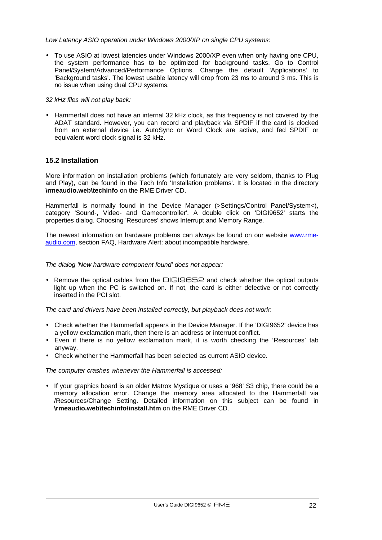#### *Low Latency ASIO operation under Windows 2000/XP on single CPU systems:*

• To use ASIO at lowest latencies under Windows 2000/XP even when only having one CPU, the system performance has to be optimized for background tasks. Go to Control Panel/System/Advanced/Performance Options. Change the default 'Applications' to 'Background tasks'. The lowest usable latency will drop from 23 ms to around 3 ms. This is no issue when using dual CPU systems.

#### *32 kHz files will not play back:*

• Hammerfall does not have an internal 32 kHz clock, as this frequency is not covered by the ADAT standard. However, you can record and playback via SPDIF if the card is clocked from an external device i.e. AutoSync or Word Clock are active, and fed SPDIF or equivalent word clock signal is 32 kHz.

## **15.2 Installation**

More information on installation problems (which fortunately are very seldom, thanks to Plug and Play), can be found in the Tech Info 'Installation problems'. It is located in the directory **\rmeaudio.web\techinfo** on the RME Driver CD.

Hammerfall is normally found in the Device Manager (>Settings/Control Panel/System<), category 'Sound-, Video- and Gamecontroller'. A double click on 'DIGI9652' starts the properties dialog. Choosing 'Resources' shows Interrupt and Memory Range.

The newest information on hardware problems can always be found on our website www.rmeaudio.com, section FAQ, Hardware Alert: about incompatible hardware.

*The dialog 'New hardware component found' does not appear:*

• Remove the optical cables from the DIGI9652 and check whether the optical outputs light up when the PC is switched on. If not, the card is either defective or not correctly inserted in the PCI slot.

*The card and drivers have been installed correctly, but playback does not work:*

- Check whether the Hammerfall appears in the Device Manager. If the 'DIGI9652' device has a yellow exclamation mark, then there is an address or interrupt conflict.
- Even if there is no yellow exclamation mark, it is worth checking the 'Resources' tab anyway.
- Check whether the Hammerfall has been selected as current ASIO device.

#### *The computer crashes whenever the Hammerfall is accessed:*

• If your graphics board is an older Matrox Mystique or uses a '968' S3 chip, there could be a memory allocation error. Change the memory area allocated to the Hammerfall via /Resources/Change Setting. Detailed information on this subject can be found in **\rmeaudio.web\techinfo\install.htm** on the RME Driver CD.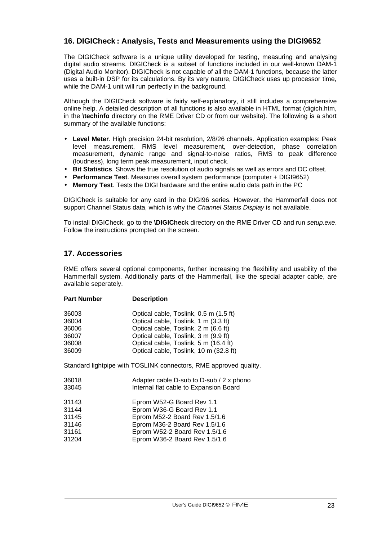# **16. DIGICheck : Analysis, Tests and Measurements using the DIGI9652**

The DIGICheck software is a unique utility developed for testing, measuring and analysing digital audio streams. DIGICheck is a subset of functions included in our well-known DAM-1 (Digital Audio Monitor). DIGICheck is not capable of all the DAM-1 functions, because the latter uses a built-in DSP for its calculations. By its very nature, DIGICheck uses up processor time, while the DAM-1 unit will run perfectly in the background.

Although the DIGICheck software is fairly self-explanatory, it still includes a comprehensive online help. A detailed description of all functions is also available in HTML format (digich.htm, in the **\techinfo** directory on the RME Driver CD or from our website). The following is a short summary of the available functions:

- **Level Meter**. High precision 24-bit resolution, 2/8/26 channels. Application examples: Peak level measurement, RMS level measurement, over-detection, phase correlation measurement, dynamic range and signal-to-noise ratios, RMS to peak difference (loudness), long term peak measurement, input check.
- **Bit Statistics**. Shows the true resolution of audio signals as well as errors and DC offset.
- **Performance Test**. Measures overall system performance (computer + DIGI9652)
- **Memory Test**. Tests the DIGI hardware and the entire audio data path in the PC

DIGICheck is suitable for any card in the DIGI96 series. However, the Hammerfall does not support Channel Status data, which is why the *Channel Status Display* is not available.

To install DIGICheck, go to the **\DIGICheck** directory on the RME Driver CD and run *setup.exe*. Follow the instructions prompted on the screen.

# **17. Accessories**

RME offers several optional components, further increasing the flexibility and usability of the Hammerfall system. Additionally parts of the Hammerfall, like the special adapter cable, are available seperately.

| <b>Part Number</b> | <b>Description</b>                                                |
|--------------------|-------------------------------------------------------------------|
| 36003              | Optical cable, Toslink, 0.5 m (1.5 ft)                            |
| 36004              | Optical cable, Toslink, 1 m (3.3 ft)                              |
| 36006              | Optical cable, Toslink, 2 m (6.6 ft)                              |
| 36007              | Optical cable, Toslink, 3 m (9.9 ft)                              |
| 36008              | Optical cable, Toslink, 5 m (16.4 ft)                             |
| 36009              | Optical cable, Toslink, 10 m (32.8 ft)                            |
|                    | Standard lightpipe with TOSLINK connectors, RME approved quality. |
| 36018              | Adapter cable D-sub to D-sub / 2 x phono                          |
| 33045              | Internal flat cable to Expansion Board                            |
| 31143              | Eprom W52-G Board Rev 1.1                                         |
| 31144              | Eprom W36-G Board Rev 1.1                                         |
| 31145              | Eprom M52-2 Board Rev 1.5/1.6                                     |
| 31146              | Eprom M36-2 Board Rev 1.5/1.6                                     |
| 31161              | Eprom W52-2 Board Rev 1.5/1.6                                     |
| 31204              | Eprom W36-2 Board Rev 1.5/1.6                                     |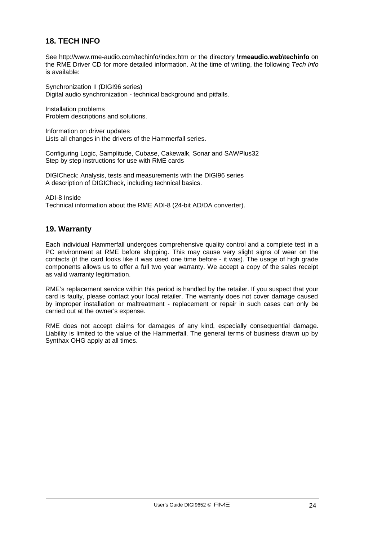# **18. TECH INFO**

See http://www.rme-audio.com/techinfo/index.htm or the directory **\rmeaudio.web\techinfo** on the RME Driver CD for more detailed information. At the time of writing, the following *Tech Info* is available:

Synchronization II (DIGI96 series) Digital audio synchronization - technical background and pitfalls.

Installation problems Problem descriptions and solutions.

Information on driver updates Lists all changes in the drivers of the Hammerfall series.

Configuring Logic, Samplitude, Cubase, Cakewalk, Sonar and SAWPlus32 Step by step instructions for use with RME cards

DIGICheck: Analysis, tests and measurements with the DIGI96 series A description of DIGICheck, including technical basics.

ADI-8 Inside Technical information about the RME ADI-8 (24-bit AD/DA converter).

# **19. Warranty**

Each individual Hammerfall undergoes comprehensive quality control and a complete test in a PC environment at RME before shipping. This may cause very slight signs of wear on the contacts (if the card looks like it was used one time before - it was). The usage of high grade components allows us to offer a full two year warranty. We accept a copy of the sales receipt as valid warranty legitimation.

RME's replacement service within this period is handled by the retailer. If you suspect that your card is faulty, please contact your local retailer. The warranty does not cover damage caused by improper installation or maltreatment - replacement or repair in such cases can only be carried out at the owner's expense.

RME does not accept claims for damages of any kind, especially consequential damage. Liability is limited to the value of the Hammerfall. The general terms of business drawn up by Synthax OHG apply at all times.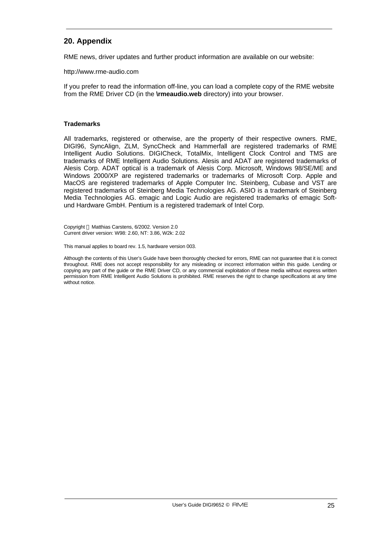# **20. Appendix**

RME news, driver updates and further product information are available on our website:

http://www.rme-audio.com

If you prefer to read the information off-line, you can load a complete copy of the RME website from the RME Driver CD (in the **\rmeaudio.web** directory) into your browser.

#### **Trademarks**

All trademarks, registered or otherwise, are the property of their respective owners. RME, DIGI96, SyncAlign, ZLM, SyncCheck and Hammerfall are registered trademarks of RME Intelligent Audio Solutions. DIGICheck, TotalMix, Intelligent Clock Control and TMS are trademarks of RME Intelligent Audio Solutions. Alesis and ADAT are registered trademarks of Alesis Corp. ADAT optical is a trademark of Alesis Corp. Microsoft, Windows 98/SE/ME and Windows 2000/XP are registered trademarks or trademarks of Microsoft Corp. Apple and MacOS are registered trademarks of Apple Computer Inc. Steinberg, Cubase and VST are registered trademarks of Steinberg Media Technologies AG. ASIO is a trademark of Steinberg Media Technologies AG. emagic and Logic Audio are registered trademarks of emagic Softund Hardware GmbH. Pentium is a registered trademark of Intel Corp.

Copyright © Matthias Carstens, 6/2002. Version 2.0 Current driver version: W98: 2.60, NT: 3.86, W2k: 2.02

This manual applies to board rev. 1.5, hardware version 003.

Although the contents of this User's Guide have been thoroughly checked for errors, RME can not guarantee that it is correct throughout. RME does not accept responsibility for any misleading or incorrect information within this guide. Lending or copying any part of the guide or the RME Driver CD, or any commercial exploitation of these media without express written permission from RME Intelligent Audio Solutions is prohibited. RME reserves the right to change specifications at any time without notice.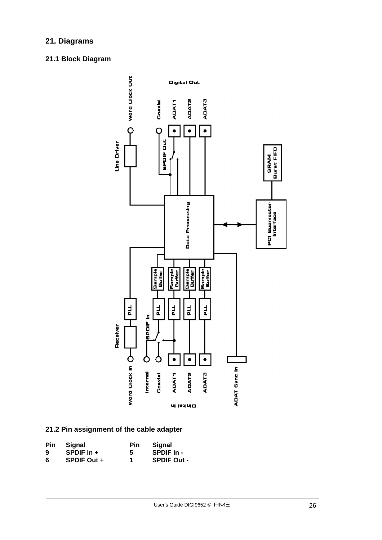# **21. Diagrams**

# **21.1 Block Diagram**



# **21.2 Pin assignment of the cable adapter**

| <b>Pin</b> | Signal             | Pin | Signal             |
|------------|--------------------|-----|--------------------|
| 9          | SPDIF $\ln$ +      | 5   | SPDIF In -         |
| 6          | <b>SPDIF Out +</b> | 1   | <b>SPDIF Out -</b> |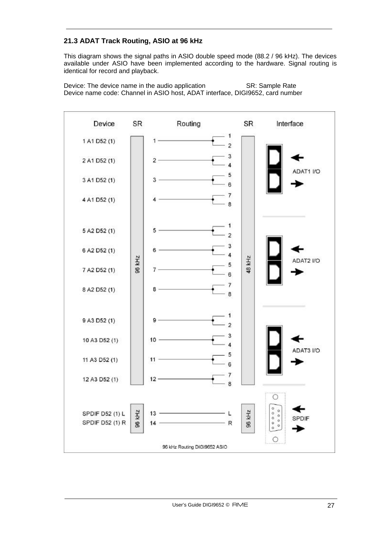# **21.3 ADAT Track Routing, ASIO at 96 kHz**

This diagram shows the signal paths in ASIO double speed mode (88.2 / 96 kHz). The devices available under ASIO have been implemented according to the hardware. Signal routing is identical for record and playback.

Device: The device name in the audio application SR: Sample Rate Device name code: Channel in ASIO host, ADAT interface, DIGI9652, card number

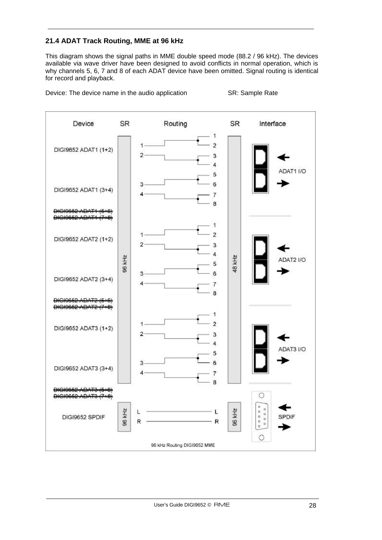# **21.4 ADAT Track Routing, MME at 96 kHz**

This diagram shows the signal paths in MME double speed mode (88.2 / 96 kHz). The devices available via wave driver have been designed to avoid conflicts in normal operation, which is why channels 5, 6, 7 and 8 of each ADAT device have been omitted. Signal routing is identical for record and playback.

Device: The device name in the audio application SR: Sample Rate